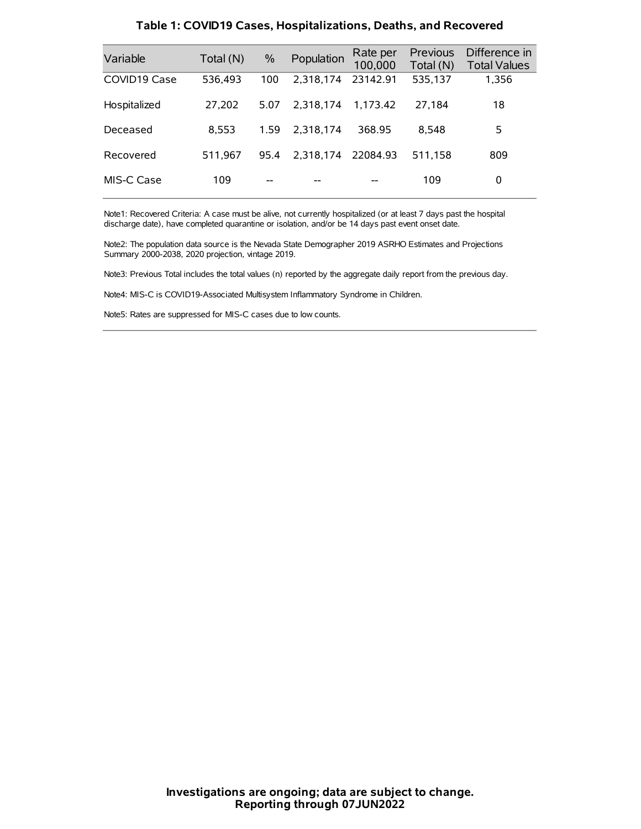| Variable     | Total (N) | $\%$ | Population | Rate per<br>100,000 | Previous<br>Total (N) | Difference in<br><b>Total Values</b> |
|--------------|-----------|------|------------|---------------------|-----------------------|--------------------------------------|
| COVID19 Case | 536,493   | 100  | 2.318.174  | 23142.91            | 535,137               | 1,356                                |
| Hospitalized | 27.202    | 5.07 | 2.318.174  | 1.173.42            | 27.184                | 18                                   |
| Deceased     | 8.553     | 1.59 | 2.318.174  | 368.95              | 8.548                 | 5                                    |
| Recovered    | 511.967   | 95.4 | 2.318.174  | 22084.93            | 511.158               | 809                                  |
| MIS-C Case   | 109       | --   |            |                     | 109                   | 0                                    |

#### **Table 1: COVID19 Cases, Hospitalizations, Deaths, and Recovered**

Note1: Recovered Criteria: A case must be alive, not currently hospitalized (or at least 7 days past the hospital discharge date), have completed quarantine or isolation, and/or be 14 days past event onset date.

Note2: The population data source is the Nevada State Demographer 2019 ASRHO Estimates and Projections Summary 2000-2038, 2020 projection, vintage 2019.

Note3: Previous Total includes the total values (n) reported by the aggregate daily report from the previous day.

Note4: MIS-C is COVID19-Associated Multisystem Inflammatory Syndrome in Children.

Note5: Rates are suppressed for MIS-C cases due to low counts.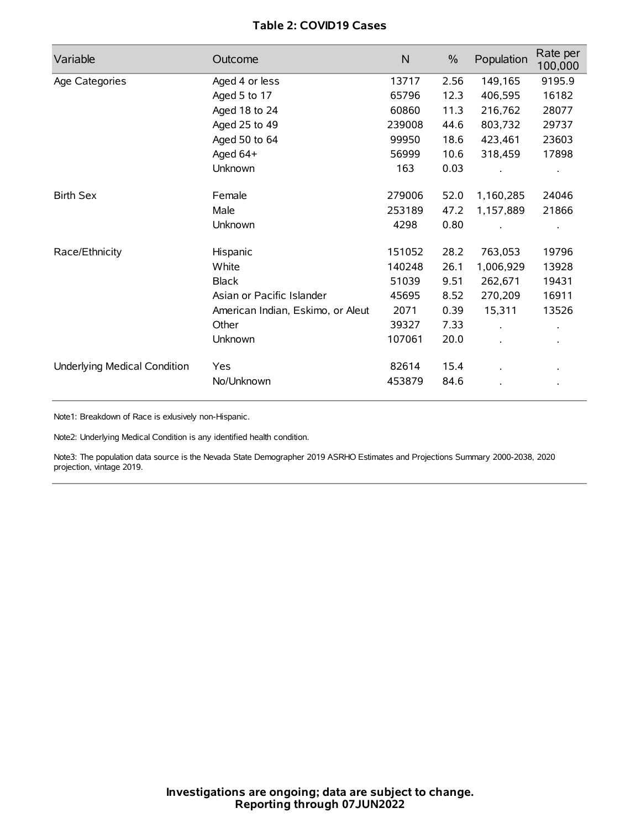# **Table 2: COVID19 Cases**

| Variable                     | Outcome                           | $\mathsf{N}$ | $\%$ | Population           | Rate per<br>100,000 |
|------------------------------|-----------------------------------|--------------|------|----------------------|---------------------|
| Age Categories               | Aged 4 or less                    | 13717        | 2.56 | 149,165              | 9195.9              |
|                              | Aged 5 to 17                      | 65796        | 12.3 | 406,595              | 16182               |
|                              | Aged 18 to 24                     | 60860        | 11.3 | 216,762              | 28077               |
|                              | Aged 25 to 49                     | 239008       | 44.6 | 803,732              | 29737               |
|                              | Aged 50 to 64                     | 99950        | 18.6 | 423,461              | 23603               |
|                              | Aged 64+                          | 56999        | 10.6 | 318,459              | 17898               |
|                              | Unknown                           | 163          | 0.03 |                      |                     |
| <b>Birth Sex</b>             | Female                            | 279006       | 52.0 | 1,160,285            | 24046               |
|                              | Male                              | 253189       | 47.2 | 1,157,889            | 21866               |
|                              | Unknown                           | 4298         | 0.80 |                      |                     |
| Race/Ethnicity               | Hispanic                          | 151052       | 28.2 | 763,053              | 19796               |
|                              | White                             | 140248       | 26.1 | 1,006,929            | 13928               |
|                              | <b>Black</b>                      | 51039        | 9.51 | 262,671              | 19431               |
|                              | Asian or Pacific Islander         | 45695        | 8.52 | 270,209              | 16911               |
|                              | American Indian, Eskimo, or Aleut | 2071         | 0.39 | 15,311               | 13526               |
|                              | Other                             | 39327        | 7.33 | $\ddot{\phantom{0}}$ |                     |
|                              | Unknown                           | 107061       | 20.0 | ÷.                   |                     |
| Underlying Medical Condition | Yes                               | 82614        | 15.4 |                      |                     |
|                              | No/Unknown                        | 453879       | 84.6 |                      |                     |

Note1: Breakdown of Race is exlusively non-Hispanic.

Note2: Underlying Medical Condition is any identified health condition.

Note3: The population data source is the Nevada State Demographer 2019 ASRHO Estimates and Projections Summary 2000-2038, 2020 projection, vintage 2019.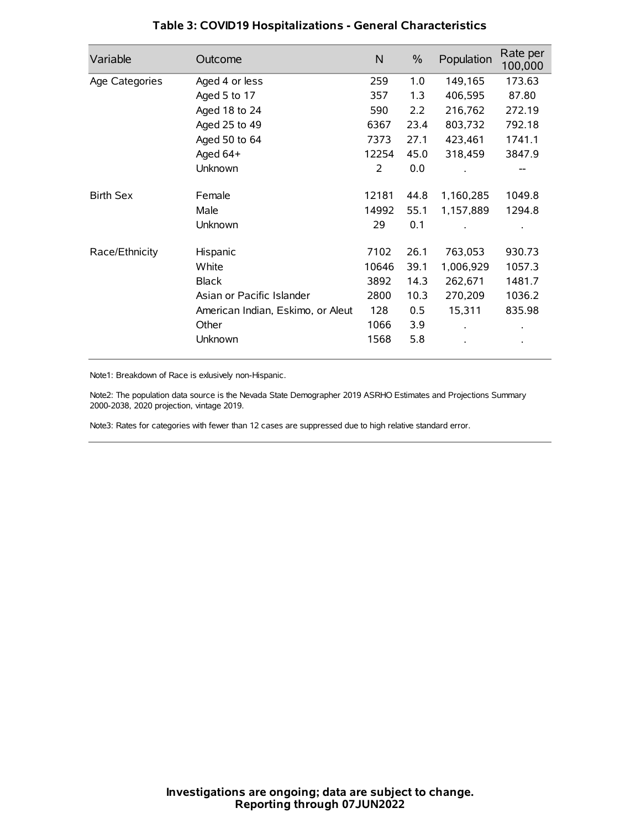| Variable         | Outcome                           | $\mathsf{N}$ | $\%$ | Population | Rate per<br>100,000 |
|------------------|-----------------------------------|--------------|------|------------|---------------------|
| Age Categories   | Aged 4 or less                    | 259          | 1.0  | 149,165    | 173.63              |
|                  | Aged 5 to 17                      | 357          | 1.3  | 406,595    | 87.80               |
|                  | Aged 18 to 24                     | 590          | 2.2  | 216,762    | 272.19              |
|                  | Aged 25 to 49                     | 6367         | 23.4 | 803,732    | 792.18              |
|                  | Aged 50 to 64                     | 7373         | 27.1 | 423,461    | 1741.1              |
|                  | Aged 64+                          | 12254        | 45.0 | 318,459    | 3847.9              |
|                  | Unknown                           | 2            | 0.0  |            |                     |
| <b>Birth Sex</b> | Female                            | 12181        | 44.8 | 1,160,285  | 1049.8              |
|                  | Male                              | 14992        | 55.1 | 1,157,889  | 1294.8              |
|                  | Unknown                           | 29           | 0.1  |            |                     |
| Race/Ethnicity   | Hispanic                          | 7102         | 26.1 | 763,053    | 930.73              |
|                  | White                             | 10646        | 39.1 | 1,006,929  | 1057.3              |
|                  | <b>Black</b>                      | 3892         | 14.3 | 262,671    | 1481.7              |
|                  | Asian or Pacific Islander         | 2800         | 10.3 | 270,209    | 1036.2              |
|                  | American Indian, Eskimo, or Aleut | 128          | 0.5  | 15,311     | 835.98              |
|                  | Other                             | 1066         | 3.9  |            |                     |
|                  | Unknown                           | 1568         | 5.8  |            |                     |

# **Table 3: COVID19 Hospitalizations - General Characteristics**

Note1: Breakdown of Race is exlusively non-Hispanic.

Note2: The population data source is the Nevada State Demographer 2019 ASRHO Estimates and Projections Summary 2000-2038, 2020 projection, vintage 2019.

Note3: Rates for categories with fewer than 12 cases are suppressed due to high relative standard error.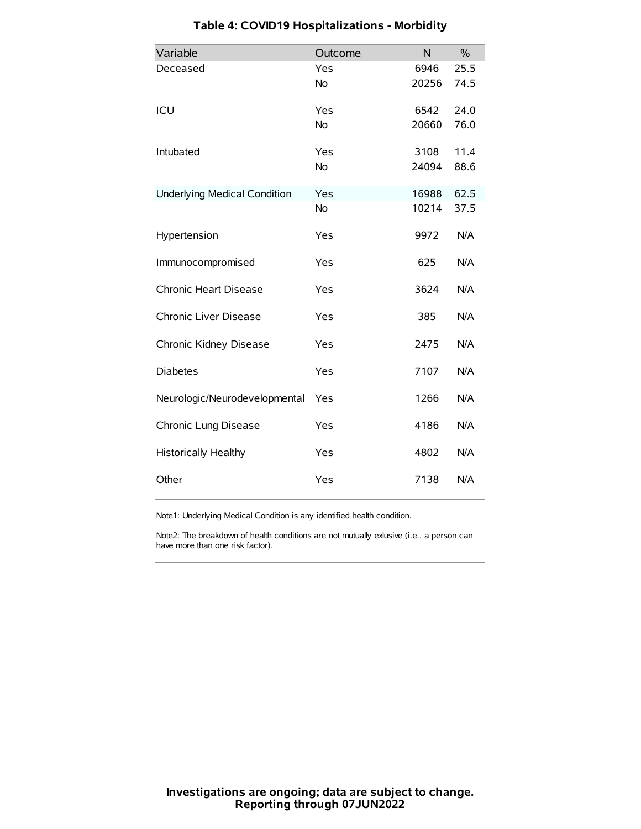| Variable                            | Outcome   | N     | $\frac{0}{0}$ |
|-------------------------------------|-----------|-------|---------------|
| Deceased                            | Yes       | 6946  | 25.5          |
|                                     | No        | 20256 | 74.5          |
| ICU                                 | Yes       | 6542  | 24.0          |
|                                     | <b>No</b> | 20660 | 76.0          |
| Intubated                           | Yes       | 3108  | 11.4          |
|                                     | No        | 24094 | 88.6          |
| <b>Underlying Medical Condition</b> | Yes       | 16988 | 62.5          |
|                                     | <b>No</b> | 10214 | 37.5          |
| Hypertension                        | Yes       | 9972  | N/A           |
| Immunocompromised                   | Yes       | 625   | N/A           |
| Chronic Heart Disease               | Yes       | 3624  | N/A           |
| Chronic Liver Disease               | Yes       | 385   | N/A           |
| Chronic Kidney Disease              | Yes       | 2475  | N/A           |
| <b>Diabetes</b>                     | Yes       | 7107  | N/A           |
| Neurologic/Neurodevelopmental       | Yes       | 1266  | N/A           |
| Chronic Lung Disease                | Yes       | 4186  | N/A           |
| Historically Healthy                | Yes       | 4802  | N/A           |
| Other                               | Yes       | 7138  | N/A           |

# **Table 4: COVID19 Hospitalizations - Morbidity**

Note1: Underlying Medical Condition is any identified health condition.

Note2: The breakdown of health conditions are not mutually exlusive (i.e., a person can have more than one risk factor).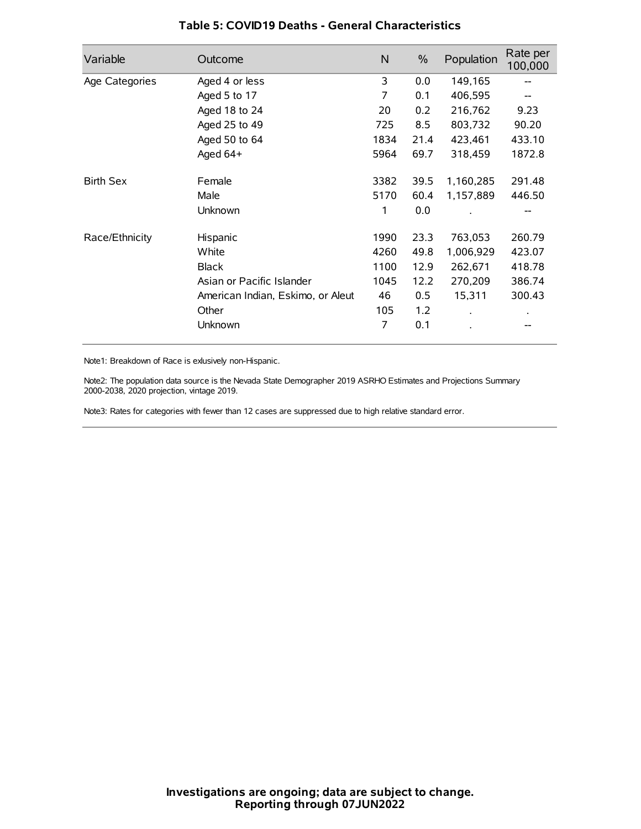| Variable         | Outcome                           | N    | $\frac{0}{0}$ | Population | Rate per<br>100,000 |
|------------------|-----------------------------------|------|---------------|------------|---------------------|
| Age Categories   | Aged 4 or less                    | 3    | 0.0           | 149,165    |                     |
|                  | Aged 5 to 17                      | 7    | 0.1           | 406,595    |                     |
|                  | Aged 18 to 24                     | 20   | 0.2           | 216,762    | 9.23                |
|                  | Aged 25 to 49                     | 725  | 8.5           | 803,732    | 90.20               |
|                  | Aged 50 to 64                     | 1834 | 21.4          | 423,461    | 433.10              |
|                  | Aged $64+$                        | 5964 | 69.7          | 318,459    | 1872.8              |
| <b>Birth Sex</b> | Female                            | 3382 | 39.5          | 1,160,285  | 291.48              |
|                  | Male                              | 5170 | 60.4          | 1,157,889  | 446.50              |
|                  | Unknown                           | 1    | 0.0           |            |                     |
| Race/Ethnicity   | Hispanic                          | 1990 | 23.3          | 763,053    | 260.79              |
|                  | White                             | 4260 | 49.8          | 1,006,929  | 423.07              |
|                  | <b>Black</b>                      | 1100 | 12.9          | 262,671    | 418.78              |
|                  | Asian or Pacific Islander         | 1045 | 12.2          | 270,209    | 386.74              |
|                  | American Indian, Eskimo, or Aleut | 46   | 0.5           | 15,311     | 300.43              |
|                  | Other                             | 105  | 1.2           |            |                     |
|                  | Unknown                           | 7    | 0.1           |            |                     |

## **Table 5: COVID19 Deaths - General Characteristics**

Note1: Breakdown of Race is exlusively non-Hispanic.

Note2: The population data source is the Nevada State Demographer 2019 ASRHO Estimates and Projections Summary 2000-2038, 2020 projection, vintage 2019.

Note3: Rates for categories with fewer than 12 cases are suppressed due to high relative standard error.